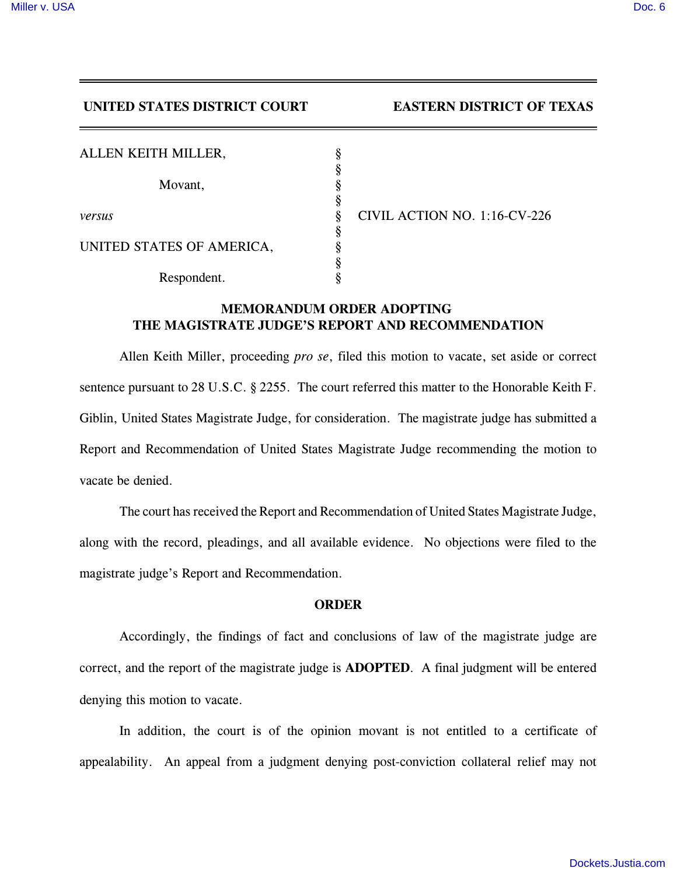## **UNITED STATES DISTRICT COURT EASTERN DISTRICT OF TEXAS**

*NO.* 1:16-CV-226

| ALLEN KEITH MILLER,       |   |                     |
|---------------------------|---|---------------------|
| Movant,                   |   |                     |
| versus                    | 8 | <b>CIVIL ACTION</b> |
| UNITED STATES OF AMERICA, | Ş |                     |
| Respondent.               |   |                     |

## **MEMORANDUM ORDER ADOPTING THE MAGISTRATE JUDGE'S REPORT AND RECOMMENDATION**

Allen Keith Miller, proceeding *pro se*, filed this motion to vacate, set aside or correct sentence pursuant to 28 U.S.C. § 2255. The court referred this matter to the Honorable Keith F. Giblin, United States Magistrate Judge, for consideration. The magistrate judge has submitted a Report and Recommendation of United States Magistrate Judge recommending the motion to vacate be denied.

The court has received the Report and Recommendation of United States Magistrate Judge, along with the record, pleadings, and all available evidence. No objections were filed to the magistrate judge's Report and Recommendation.

## **ORDER**

Accordingly, the findings of fact and conclusions of law of the magistrate judge are correct, and the report of the magistrate judge is **ADOPTED**. A final judgment will be entered denying this motion to vacate.

In addition, the court is of the opinion movant is not entitled to a certificate of appealability. An appeal from a judgment denying post-conviction collateral relief may not